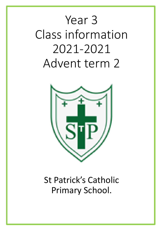# Year 3 Class information 2021-2021 Advent term 2



# St Patrick's Catholic Primary School.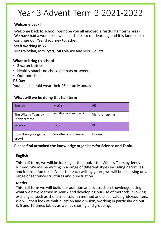# Year 3 Advent Term 2 2021-2022

#### **Welcome back!**

Welcome back to school, we hope you all enjoyed a restful half term break! We have had a wonderful week and start to our learning and it is fantastic to continue our Year 3 journey together.

#### **Staff working in Y2**

Miss Whelan, Mrs Pyatt, Mrs Slaney and Mrs Mollatt

#### **What to bring to school**

- **2 water bottles**
- Healthy snack- no chocolate bars or sweets
- Outdoor shoes

#### **PE Day**

Your child should wear their PE kit on Monday

#### **What will we be doing this half term**

| English                             | <b>Maths</b>             | <b>RE</b>         |
|-------------------------------------|--------------------------|-------------------|
| The Witch's Tears by<br>Jenny Nimmo | Addition and subtraction | Visitors - Loving |
| Science                             | <b>Topic</b>             | <b>PE</b>         |
| How does your garden<br>grow?       | Weather and climate      | Hockey            |

#### **Please find attached the knowledge organisers for Science and Topic.**

#### **English**

This half term, we will be looking at the book – the Witch's Tears by Jenny Nimmo. We will be writing in a range of different styles including narratives and information texts. As part of each writing genre, we will be focussing on a range of sentence structures and punctuation.

#### **Maths**

This half term we will build our addition and subtraction knowledge, using what we have learned in Year 2 and developing our use of methods involving exchanges, such as the formal column method and place value grids/counters. We will then look at multiplication and division, working in particular on our 3, 5 and 10 times tables as well as sharing and grouping.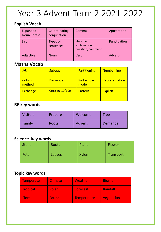# Year 3 Advent Term 2 2021-2022

#### **English Vocab**

| Expanded<br><b>Noun Phrase</b> | Co-ordinating<br>conjunction | Comma                                           | Apostrophe  |
|--------------------------------|------------------------------|-------------------------------------------------|-------------|
| List                           | Types of<br>sentences        | Statement,<br>exclamation,<br>question, command | Punctuation |
| Adjective                      | <b>Noun</b>                  | Verb                                            | Adverb      |

### **Maths Vocab**

| Add              | <b>Subtract</b>  | <b>Partitioning</b>        | <b>Number line</b> |
|------------------|------------------|----------------------------|--------------------|
| Column<br>method | <b>Bar model</b> | <b>Part whole</b><br>model | Representation     |
| <b>Exchange</b>  | Crossing 10/100  | Pattern                    | <b>Explicit</b>    |

### **RE key words**

| <b>Visitors</b> | Prepare | Welcome | Tree    |
|-----------------|---------|---------|---------|
| Family          | Roots   | Advent  | Demands |

### **Science key words**

| <b>Stem</b> | Roots  | Plant        | Flower           |
|-------------|--------|--------------|------------------|
| Petal       | Leaves | <b>Xylem</b> | <b>Transport</b> |

#### **Topic key words**

| <b>Temperate</b> | <b>Climate</b> | Weather         | <b>Biome</b>      |
|------------------|----------------|-----------------|-------------------|
| <b>Tropical</b>  | Polar          | <b>Forecast</b> | Rainfall          |
| <b>Flora</b>     | Fauna          | Temperature     | <b>Vegetation</b> |